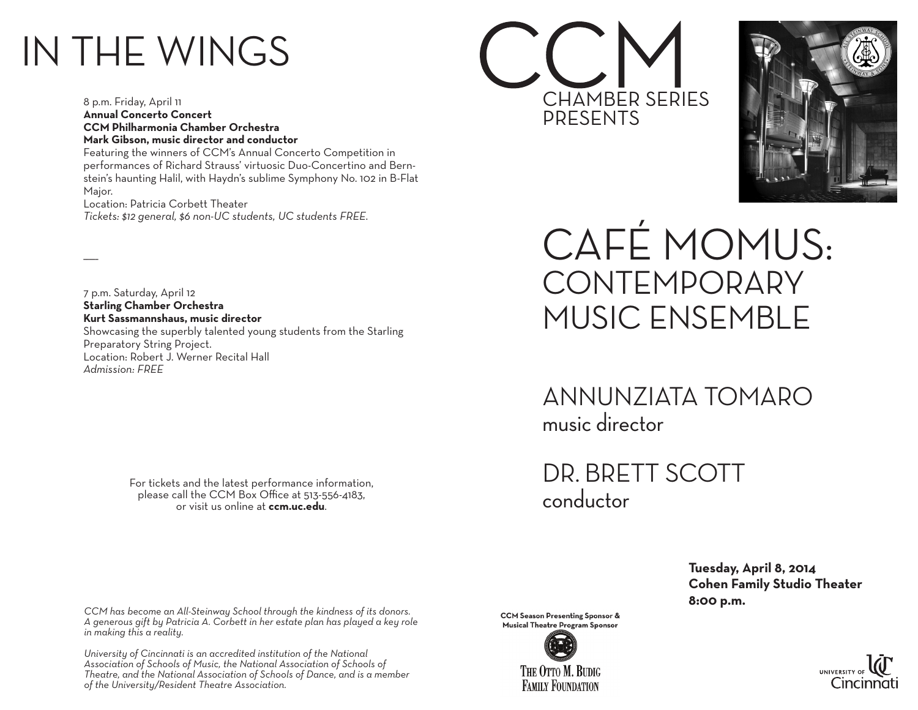## IN THE WINGS

 $\overline{\phantom{a}}$ 

8 p.m. Friday, April 11 **Annual Concerto Concert CCM Philharmonia Chamber Orchestra Mark Gibson, music director and conductor**

Featuring the winners of CCM's Annual Concerto Competition in performances of Richard Strauss' virtuosic Duo-Concertino and Bernstein's haunting Halil, with Haydn's sublime Symphony No. 102 in B-Flat Major.

Location: Patricia Corbett Theater *Tickets: \$12 general, \$6 non-UC students, UC students FREE.*

7 p.m. Saturday, April 12 **Starling Chamber Orchestra Kurt Sassmannshaus, music director** Showcasing the superbly talented young students from the Starling Preparatory String Project. Location: Robert J. Werner Recital Hall *Admission: FREE*

> For tickets and the latest performance information, please call the CCM Box Office at 513-556-4183, or visit us online at **ccm.uc.edu**.

*CCM has become an All-Steinway School through the kindness of its donors. A generous gift by Patricia A. Corbett in her estate plan has played a key role in making this a reality.*

*University of Cincinnati is an accredited institution of the National Association of Schools of Music, the National Association of Schools of Theatre, and the National Association of Schools of Dance, and is a member of the University/Resident Theatre Association.*

**CCM Season Presenting Sponsor & Musical Theatre Program Sponsor** 





CHAMBER SERIES

CAFÉ MOMUS: **CONTEMPORARY** MUSIC ENSEMBLE

ANNUNZIATA TOMARO music director

DR. BRETT SCOTT conductor

PRESENTS